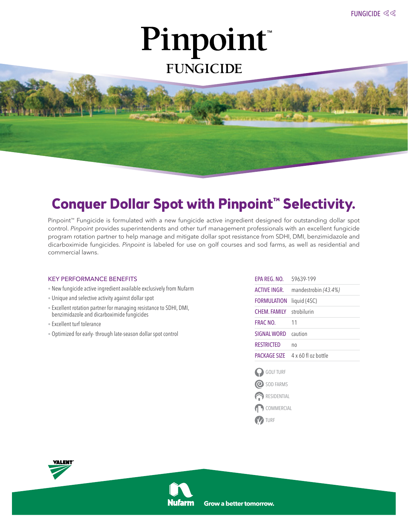# Pinpoint® **FUNGICIDE**

### **Conquer Dollar Spot with Pinpoint™ Selectivity.**

Pinpoint™ Fungicide is formulated with a new fungicide active ingredient designed for outstanding dollar spot control. *Pinpoint* provides superintendents and other turf management professionals with an excellent fungicide program rotation partner to help manage and mitigate dollar spot resistance from SDHI, DMI, benzimidazole and dicarboximide fungicides. *Pinpoint* is labeled for use on golf courses and sod farms, as well as residential and commercial lawns.

#### KEY PERFORMANCE BENEFITS

- New fungicide active ingredient available exclusively from Nufarm
- Unique and selective activity against dollar spot
- Excellent rotation partner for managing resistance to SDHI, DMI, benzimidazole and dicarboximide fungicides
- Excellent turf tolerance
- Optimized for early- through late-season dollar spot control

| FPA RFG. NO.        | 59639-199                  |
|---------------------|----------------------------|
| <b>ACTIVE INGR.</b> | mandestrobin (43.4%)       |
| FORMULATION         | liquid (4SC)               |
| <b>CHEM FAMILY</b>  | strobilurin                |
| FRAC NO.            | 11                         |
| <b>SIGNAL WORD</b>  | caution                    |
| RESTRICTED          | no                         |
| PACKAGE SIZE        | $4 \times 60$ fl oz bottle |
| <b>GOLF TURF</b>    |                            |
| SOD FARMS<br>(G     |                            |
| <b>RESIDENTIAL</b>  |                            |

COMMERCIAL

**Y** TURF